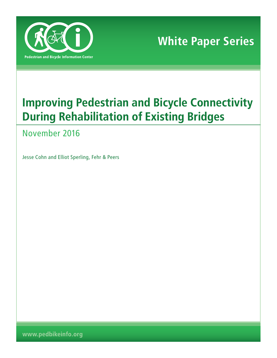

**White Paper Series**

# **Improving Pedestrian and Bicycle Connectivity During Rehabilitation of Existing Bridges**

November 2016

Jesse Cohn and Elliot Sperling, Fehr & Peers

**www.pedbikeinfo.org**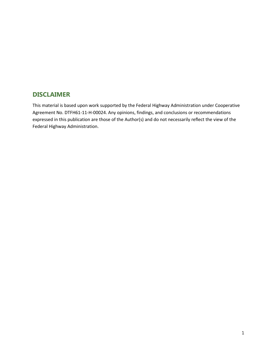# **DISCLAIMER**

This material is based upon work supported by the Federal Highway Administration under Cooperative Agreement No. DTFH61-11-H-00024. Any opinions, findings, and conclusions or recommendations expressed in this publication are those of the Author(s) and do not necessarily reflect the view of the Federal Highway Administration.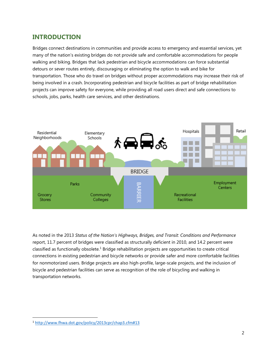# **INTRODUCTION**

Bridges connect destinations in communities and provide access to emergency and essential services, yet many of the nation's existing bridges do not provide safe and comfortable accommodations for people walking and biking. Bridges that lack pedestrian and bicycle accommodations can force substantial detours or sever routes entirely, discouraging or eliminating the option to walk and bike for transportation. Those who do travel on bridges without proper accommodations may increase their risk of being involved in a crash. Incorporating pedestrian and bicycle facilities as part of bridge rehabilitation projects can improve safety for everyone, while providing all road users direct and safe connections to schools, jobs, parks, health care services, and other destinations.



As noted in the 2013 *Status of the Nation's Highways, Bridges, and Transit: Conditions and Performance* report, 11.7 percent of bridges were classified as structurally deficient in 2010, and 14.2 percent were classified as functionally obsolete.<sup>1</sup> Bridge rehabilitation projects are opportunities to create critical connections in existing pedestrian and bicycle networks or provide safer and more comfortable facilities for nonmotorized users. Bridge projects are also high-profile, large-scale projects, and the inclusion of bicycle and pedestrian facilities can serve as recognition of the role of bicycling and walking in transportation networks.

 $\overline{\phantom{a}}$ <sup>1</sup> <http://www.fhwa.dot.gov/policy/2013cpr/chap3.cfm#13>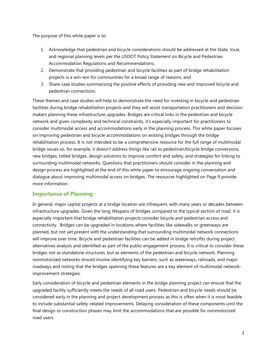The purpose of this white paper is to:

- 1. Acknowledge that pedestrian and bicycle considerations should be addressed at the State, local, and regional planning levels per the USDOT Policy Statement on Bicycle and Pedestrian Accommodation Regulations and Recommendations,
- 2. Demonstrate that providing pedestrian and bicycle facilities as part of bridge rehabilitation projects is a win-win for communities for a broad range of reasons, and
- 3. Share case studies summarizing the positive effects of providing new and improved bicycle and pedestrian connections.

These themes and case studies will help to demonstrate the need for investing in bicycle and pedestrian facilities during bridge rehabilitation projects and they will assist transportation practitioners and decision makers planning these infrastructure upgrades. Bridges are critical links in the pedestrian and bicycle network and given complexity and technical constraints, it's especially important for practitioners to consider multimodal access and accommodations early in the planning process. This white paper focuses on improving pedestrian and bicycle accommodations on existing bridges through the bridge rehabilitation process. It is not intended to be a comprehensive resource for the full range of multimodal bridge issues so, for example, it doesn't address things like rail to pedestrian/bicycle bridge conversions, new bridges, tolled bridges, design solutions to improve comfort and safety, and strategies for linking to surrounding multimodal networks. Questions that practitioners should consider in the planning and design process are highlighted at the end of this white paper to encourage ongoing conversation and dialogue about improving multimodal access on bridges. The resources highlighted on Page 9 provide more information.

# **Importance of Planning**

In general, major capital projects at a bridge location are infrequent, with many years or decades between infrastructure upgrades. Given the long lifespans of bridges compared to the typical section of road, it is especially important that bridge rehabilitation projects consider bicycle and pedestrian access and connectivity. Bridges can be upgraded in locations where facilities like sidewalks or greenways are planned, but not yet present with the understanding that surrounding multimodal network connections will improve over time. Bicycle and pedestrian facilities can be added in bridge retrofits during project alternatives analysis and identified as part of the public engagement process. It is critical to consider these bridges not as standalone structures, but as elements of the pedestrian and bicycle network. Planning nonmotorized networks should involve identifying key barriers, such as waterways, railroads, and major roadways and noting that the bridges spanning these features are a key element of multimodal networkimprovement strategies.

Early consideration of bicycle and pedestrian elements in the bridge planning project can ensure that the upgraded facility sufficiently meets the needs of all road users. Pedestrian and bicycle needs should be considered early in the planning and project development process as this is often when it is most feasible to include substantial safety-related improvements. Delaying consideration of these components until the final design or construction phases may limit the accommodations that are possible for nonmotorized road users.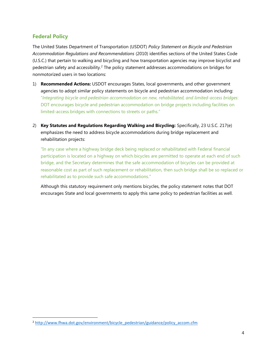### **Federal Policy**

 $\overline{\phantom{a}}$ 

The United States Department of Transportation (USDOT) *Policy Statement on Bicycle and Pedestrian Accommodation Regulations and Recommendations* (2010) identifies sections of the United States Code (U.S.C.) that pertain to walking and bicycling and how transportation agencies may improve bicyclist and pedestrian safety and accessibility.<sup>2</sup> The policy statement addresses accommodations on bridges for nonmotorized users in two locations:

- 1) **Recommended Actions:** USDOT encourages States, local governments, and other government agencies to adopt similar policy statements on bicycle and pedestrian accommodation including: "*Integrating bicycle and pedestrian accommodation on new, rehabilitated, and limited-access bridges*: DOT encourages bicycle and pedestrian accommodation on bridge projects including facilities on limited-access bridges with connections to streets or paths."
- 2) **Key Statutes and Regulations Regarding Walking and Bicycling:** Specifically, 23 U.S.C. 217(e) emphasizes the need to address bicycle accommodations during bridge replacement and rehabilitation projects:

"In any case where a highway bridge deck being replaced or rehabilitated with Federal financial participation is located on a highway on which bicycles are permitted to operate at each end of such bridge, and the Secretary determines that the safe accommodation of bicycles can be provided at reasonable cost as part of such replacement or rehabilitation, then such bridge shall be so replaced or rehabilitated as to provide such safe accommodations."

Although this statutory requirement only mentions bicycles, the policy statement notes that DOT encourages State and local governments to apply this same policy to pedestrian facilities as well.

<sup>&</sup>lt;sup>2</sup> [http://www.fhwa.dot.gov/environment/bicycle\\_pedestrian/guidance/policy\\_accom.cfm](http://www.fhwa.dot.gov/environment/bicycle_pedestrian/guidance/policy_accom.cfm)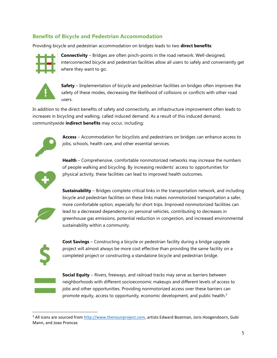# **Benefits of Bicycle and Pedestrian Accommodation**

Providing bicycle and pedestrian accommodation on bridges leads to two **direct benefits**:



**Connectivity** – Bridges are often pinch-points in the road network. Well-designed, interconnected bicycle and pedestrian facilities allow all users to safely and conveniently get where they want to go.



**Safety** – Implementation of bicycle and pedestrian facilities on bridges often improves the safety of these modes, decreasing the likelihood of collisions or conflicts with other road users.

In addition to the direct benefits of safety and connectivity, an infrastructure improvement often leads to increases in bicycling and walking, called induced demand. As a result of this induced demand, communitywide **indirect benefits** may occur, including:



**Access** – Accommodation for bicyclists and pedestrians on bridges can enhance access to jobs, schools, health care, and other essential services.



**Health** – Comprehensive, comfortable nonmotorized networks may increase the numbers of people walking and bicycling. By increasing residents' access to opportunities for physical activity, these facilities can lead to improved health outcomes.



**Sustainability** – Bridges complete critical links in the transportation network, and including bicycle and pedestrian facilities on these links makes nonmotorized transportation a safer, more comfortable option, especially for short trips. Improved nonmotorized facilities can lead to a decreased dependency on personal vehicles, contributing to decreases in greenhouse gas emissions, potential reduction in congestion, and increased environmental sustainability within a community.



**Cost Savings** – Constructing a bicycle or pedestrian facility during a bridge upgrade project will almost always be more cost effective than providing the same facility on a completed project or constructing a standalone bicycle and pedestrian bridge.



l

**Social Equity** – Rivers, freeways, and railroad tracks may serve as barriers between neighborhoods with different socioeconomic makeups and different levels of access to jobs and other opportunities. Providing nonmotorized access over these barriers can promote equity, access to opportunity, economic development, and public health.<sup>3</sup>

<sup>&</sup>lt;sup>3</sup> All icons are sourced fro[m http://www.thenounproject.com,](http://www.thenounproject.com/) artists Edward Boatman, Joris Hoogendoorn, Gubi Mann, and Joao Proncax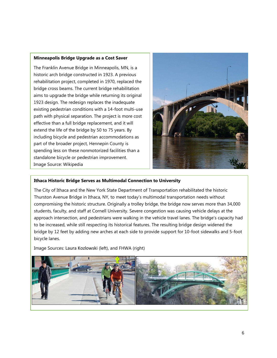### **Minneapolis Bridge Upgrade as a Cost Saver**

The Franklin Avenue Bridge in Minneapolis, MN, is a historic arch bridge constructed in 1923. A previous rehabilitation project, completed in 1970, replaced the bridge cross beams. The current bridge rehabilitation aims to upgrade the bridge while returning its original 1923 design. The redesign replaces the inadequate existing pedestrian conditions with a 14-foot multi-use path with physical separation. The project is more cost effective than a full bridge replacement, and it will extend the life of the bridge by 50 to 75 years. By including bicycle and pedestrian accommodations as part of the broader project, Hennepin County is spending less on these nonmotorized facilities than a standalone bicycle or pedestrian improvement. Image Source: Wikipedia



### **Ithaca Historic Bridge Serves as Multimodal Connection to University**

The City of Ithaca and the New York State Department of Transportation rehabilitated the historic Thurston Avenue Bridge in Ithaca, NY, to meet today's multimodal transportation needs without compromising the historic structure. Originally a trolley bridge, the bridge now serves more than 34,000 students, faculty, and staff at Cornell University. Severe congestion was causing vehicle delays at the approach intersection, and pedestrians were walking in the vehicle travel lanes. The bridge's capacity had to be increased, while still respecting its historical features. The resulting bridge design widened the bridge by 12 feet by adding new arches at each side to provide support for 10-foot sidewalks and 5-foot bicycle lanes.

Image Sources: Laura Kozlowski (left), and FHWA (right)

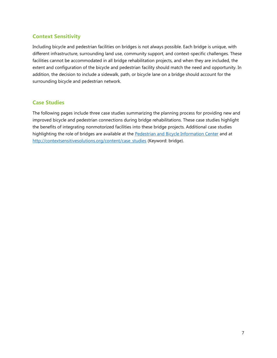## **Context Sensitivity**

Including bicycle and pedestrian facilities on bridges is not always possible. Each bridge is unique, with different infrastructure, surrounding land use, community support, and context-specific challenges. These facilities cannot be accommodated in all bridge rehabilitation projects, and when they are included, the extent and configuration of the bicycle and pedestrian facility should match the need and opportunity. In addition, the decision to include a sidewalk, path, or bicycle lane on a bridge should account for the surrounding bicycle and pedestrian network.

### **Case Studies**

The following pages include three case studies summarizing the planning process for providing new and improved bicycle and pedestrian connections during bridge rehabilitations. These case studies highlight the benefits of integrating nonmotorized facilities into these bridge projects. Additional case studies highlighting the role of bridges are available at the [Pedestrian and Bicycle Information Center](http://www.pedbikeinfo.org/data/casestudies.cfm) and at [http://contextsensitivesolutions.org/content/case\\_studies](http://contextsensitivesolutions.org/content/case_studies) (Keyword: bridge).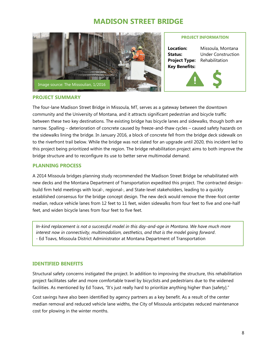# **MADISON STREET BRIDGE**



### **PROJECT INFORMATION**

**Location:** Missoula, Montana **Status:** Under Construction **Project Type:** Rehabilitation **Key Benefits:**

### **PROJECT SUMMARY**

The four-lane Madison Street Bridge in Missoula, MT, serves as a gateway between the downtown community and the University of Montana, and it attracts significant pedestrian and bicycle traffic between these two key destinations. The existing bridge has bicycle lanes and sidewalks, though both are narrow. Spalling – deterioration of concrete caused by freeze-and-thaw cycles – caused safety hazards on the sidewalks lining the bridge. In January 2016, a block of concrete fell from the bridge deck sidewalk on to the riverfront trail below. While the bridge was not slated for an upgrade until 2020, this incident led to this project being prioritized within the region. The bridge rehabilitation project aims to both improve the bridge structure and to reconfigure its use to better serve multimodal demand.

### **PLANNING PROCESS**

A 2014 Missoula bridges planning study recommended the Madison Street Bridge be rehabilitated with new decks and the Montana Department of Transportation expedited this project. The contracted designbuild firm held meetings with local-, regional-, and State-level stakeholders, leading to a quickly established consensus for the bridge concept design. The new deck would remove the three-foot center median, reduce vehicle lanes from 12 feet to 11 feet, widen sidewalks from four feet to five and one-half feet, and widen bicycle lanes from four feet to five feet.

*In-kind replacement is not a successful model in this day-and-age in Montana. We have much more interest now in connectivity, multimodalism, aesthetics, and that is the model going forward*. - Ed Toavs, Missoula District Administrator at Montana Department of Transportation

### **IDENTIFIED BENEFITS**

Structural safety concerns instigated the project. In addition to improving the structure, this rehabilitation project facilitates safer and more comfortable travel by bicyclists and pedestrians due to the widened facilities. As mentioned by Ed Toavs, "It's just really hard to prioritize anything higher than [safety]."

Cost savings have also been identified by agency partners as a key benefit. As a result of the center median removal and reduced vehicle lane widths, the City of Missoula anticipates reduced maintenance cost for plowing in the winter months.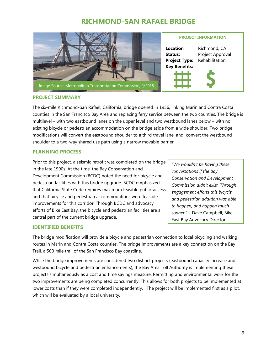# **RICHMOND-SAN RAFAEL BRIDGE**



### **PROJECT INFORMATION**

**Location** Richmond, CA **Status:** Project Approval **Project Type:** Rehabilitation **Key Benefits:**



### **PROJECT SUMMARY**

The six-mile Richmond-San Rafael, California, bridge opened in 1956, linking Marin and Contra Costa counties in the San Francisco Bay Area and replacing ferry service between the two counties. The bridge is multilevel – with two eastbound lanes on the upper level and two westbound lanes below – with no existing bicycle or pedestrian accommodation on the bridge aside from a wide shoulder. Two bridge modifications will convert the eastbound shoulder to a third travel lane, and convert the westbound shoulder to a two-way shared use path using a narrow movable barrier.

### **PLANNING PROCESS**

Prior to this project, a seismic retrofit was completed on the bridge in the late 1990s. At the time, the Bay Conservation and Development Commission (BCDC) noted the need for bicycle and pedestrian facilities with this bridge upgrade. BCDC emphasized that California State Code requires maximum feasible public access and that bicycle and pedestrian accommodations were feasible improvements for this corridor. Through BCDC and advocacy efforts of Bike East Bay, the bicycle and pedestrian facilities are a central part of the current bridge upgrade.

# *"We wouldn't be having these conversations if the Bay Conservation and Development Commission didn't exist. Through engagement efforts this bicycle and pedestrian addition was able to happen, and happen much sooner."* – Dave Campbell, Bike East Bay Advocacy Director

### **IDENTIFIED BENEFITS**

The bridge modification will provide a bicycle and pedestrian connection to local bicycling and walking routes in Marin and Contra Costa counties. The bridge improvements are a key connection on the Bay Trail, a 500 mile trail of the San Francisco Bay coastline.

While the bridge improvements are considered two distinct projects (eastbound capacity increase and westbound bicycle and pedestrian enhancements), the Bay Area Toll Authority is implementing these projects simultaneously as a cost and time savings measure. Permitting and environmental work for the two improvements are being completed concurrently. This allows for both projects to be implemented at lower costs than if they were completed independently. The project will be implemented first as a pilot, which will be evaluated by a local university.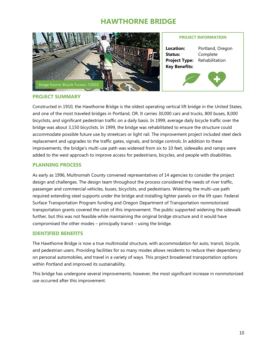# **HAWTHORNE BRIDGE**



### **PROJECT INFORMATION**

**Location:** Portland, Oregon **Status:** Complete **Project Type:** Rehabilitation **Key Benefits:**



### **PROJECT SUMMARY**

Constructed in 1910, the Hawthorne Bridge is the oldest operating vertical lift bridge in the United States, and one of the most traveled bridges in Portland, OR. It carries 30,000 cars and trucks, 800 buses, 8,000 bicyclists, and significant pedestrian traffic on a daily basis. In 1999, average daily bicycle traffic over the bridge was about 3,150 bicyclists. In 1999, the bridge was rehabilitated to ensure the structure could accommodate possible future use by streetcars or light rail. The improvement project included steel deck replacement and upgrades to the traffic gates, signals, and bridge controls. In addition to these improvements, the bridge's multi-use path was widened from six to 10 feet, sidewalks and ramps were added to the west approach to improve access for pedestrians, bicycles, and people with disabilities.

### **PLANNING PROCESS**

As early as 1996, Multnomah County convened representatives of 14 agencies to consider the project design and challenges. The design team throughout the process considered the needs of river traffic, passenger and commercial vehicles, buses, bicyclists, and pedestrians. Widening the multi-use path required extending steel supports under the bridge and installing lighter panels on the lift span. Federal Surface Transportation Program funding and Oregon Department of Transportation nonmotorized transportation grants covered the cost of this improvement. The public supported widening the sidewalk further, but this was not feasible while maintaining the original bridge structure and it would have compromised the other modes – principally transit – using the bridge.

### **IDENTIFIED BENEFITS**

The Hawthorne Bridge is now a true multimodal structure, with accommodation for auto, transit, bicycle, and pedestrian users. Providing facilities for so many modes allows residents to reduce their dependency on personal automobiles, and travel in a variety of ways. This project broadened transportation options within Portland and improved its sustainability.

This bridge has undergone several improvements; however, the most significant increase in nonmotorized use occurred after this improvement.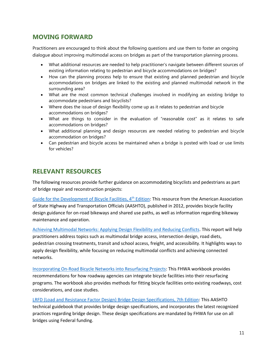# **MOVING FORWARD**

Practitioners are encouraged to think about the following questions and use them to foster an ongoing dialogue about improving multimodal access on bridges as part of the transportation planning process.

- What additional resources are needed to help practitioner's navigate between different sources of existing information relating to pedestrian and bicycle accommodations on bridges?
- How can the planning process help to ensure that existing and planned pedestrian and bicycle accommodations on bridges are linked to the existing and planned multimodal network in the surrounding area?
- What are the most common technical challenges involved in modifying an existing bridge to accommodate pedestrians and bicyclists?
- Where does the issue of design flexibility come up as it relates to pedestrian and bicycle accommodations on bridges?
- What are things to consider in the evaluation of "reasonable cost" as it relates to safe accommodations on bridges?
- What additional planning and design resources are needed relating to pedestrian and bicycle accommodation on bridges?
- Can pedestrian and bicycle access be maintained when a bridge is posted with load or use limits for vehicles?

# **RELEVANT RESOURCES**

The following resources provide further guidance on accommodating bicyclists and pedestrians as part of bridge repair and reconstruction projects:

[Guide for the Development of](https://bookstore.transportation.org/collection_detail.aspx?ID=116) Bicycle Facilities, 4<sup>th</sup> Edition: This resource from the American Association of State Highway and Transportation Officials (AASHTO), published in 2012, provides bicycle facility design guidance for on-road bikeways and shared use paths, as well as information regarding bikeway maintenance and operation.

[Achieving Multimodal Networks: Applying Design Flexibility and Reducing Conflicts.](http://www.fhwa.dot.gov/environment/bicycle_pedestrian/publications/multimodal_networks/) This report will help practitioners address topics such as multimodal bridge access, intersection design, road diets, pedestrian crossing treatments, transit and school access, freight, and accessibility. It highlights ways to apply design flexibility, while focusing on reducing multimodal conflicts and achieving connected networks.

[Incorporating On-Road Bicycle Networks into Resurfacing Projects:](http://www.fhwa.dot.gov/environment/bicycle_pedestrian/publications/resurfacing/resurfacing_workbook.pdf) This FHWA workbook provides recommendations for how roadway agencies can integrate bicycle facilities into their resurfacing programs. The workbook also provides methods for fitting bicycle facilities onto existing roadways, cost considerations, and case studies.

[LRFD \(Load and Resistance Factor Design\) Bridge Design Specifications, 7th Edition:](https://bookstore.transportation.org/item_details.aspx?ID=2211) This AASHTO technical guidebook that provides bridge design specifications, and incorporates the latest recognized practices regarding bridge design. These design specifications are mandated by FHWA for use on all bridges using Federal funding.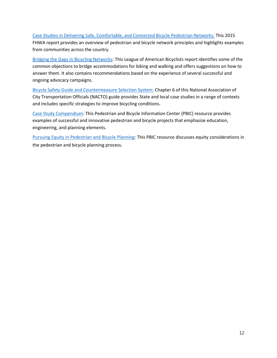[Case Studies in Delivering Safe, Comfortable, and Connected Bicycle Pedestrian Networks:](http://www.fhwa.dot.gov/environment/bicycle_pedestrian/publications/network_report/network_report.pdf) This 2015 FHWA report provides an overview of pedestrian and bicycle network principles and highlights examples from communities across the country.

[Bridging the Gaps in Bicycling Networks:](http://www.advocacyadvance.org/docs/Bridge_Access_Report.pdf) This League of American Bicyclists report identifies some of the common objections to bridge accommodations for biking and walking and offers suggestions on how to answer them. It also contains recommendations based on the experience of several successful and ongoing advocacy campaigns.

[Bicycle Safety Guide and Countermeasure Selection System:](http://nacto.org/wp-content/uploads/2010/11/bikesafe_ch6.pdf) Chapter 6 of this National Association of City Transportation Officials (NACTO) guide provides State and local case studies in a range of contexts and includes specific strategies to improve bicycling conditions.

[Case Study Compendium:](http://www.pedbikeinfo.org/cms/downloads/pbic_case_study_compendium.pdf) This Pedestrian and Bicycle Information Center (PBIC) resource provides examples of successful and innovative pedestrian and bicycle projects that emphasize education, engineering, and planning elements.

[Pursuing Equity in Pedestrian and Bicycle Planning:](https://www.fhwa.dot.gov/environment/bicycle_pedestrian/resources/equity_paper/) This PBIC resource discusses equity considerations in the pedestrian and bicycle planning process.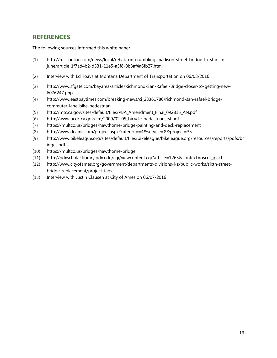# **REFERENCES**

The following sources informed this white paper:

- (1) http://missoulian.com/news/local/rehab-on-crumbling-madison-street-bridge-to-start-injune/article\_1f7ad4b2-d531-11e5-a5f8-0b8af4a6fb27.html
- (2) Interview with Ed Toavs at Montana Department of Transportation on 06/08/2016
- (3) http://www.sfgate.com/bayarea/article/Richmond-San-Rafael-Bridge-closer-to-getting-new-6076247.php
- (4) http://www.eastbaytimes.com/breaking-news/ci\_28361786/richmond-san-rafael-bridgecommuter-lane-bike-pedestrian
- (5) http://mtc.ca.gov/sites/default/files/PBA\_Amendment\_Final\_092815\_AN.pdf
- (6) http://www.bcdc.ca.gov/cm/2009/02-05\_bicycle-pedestrian\_rsf.pdf
- (7) https://multco.us/bridges/hawthorne-bridge-painting-and-deck-replacement
- (8) http://www.deainc.com/project.aspx?category=4&service=8&project=35
- (9) http://www.bikeleague.org/sites/default/files/bikeleague/bikeleague.org/resources/reports/pdfs/br idges.pdf
- (10) https://multco.us/bridges/hawthorne-bridge
- (11) http://pdxscholar.library.pdx.edu/cgi/viewcontent.cgi?article=1263&context=oscdl\_jpact
- (12) [http://www.cityofames.org/government/departments-divisions-i-z/public-works/sixth-street](http://www.cityofames.org/government/departments-divisions-i-z/public-works/sixth-street-bridge-replacement/project-faqs)[bridge-replacement/project-faqs](http://www.cityofames.org/government/departments-divisions-i-z/public-works/sixth-street-bridge-replacement/project-faqs)
- (13) Interview with Justin Clausen at City of Ames on 06/07/2016